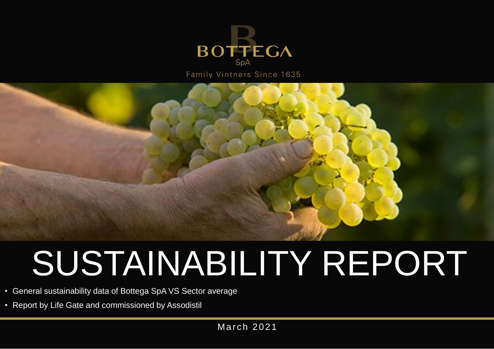

Family Vintners Since 1635



# SUSTAINABILITY REPORT

- General sustainability data of Bottega SpA VS Sector average
- Report by Life Gate and commissioned by Assodistil

**March 2021**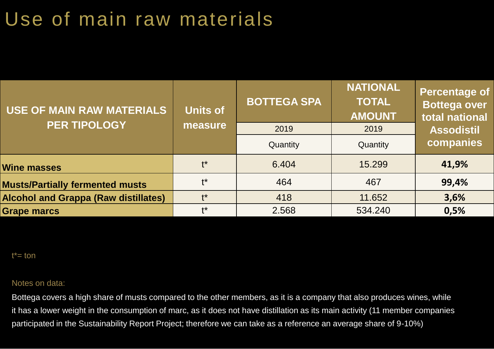## Use of main raw materials

| <b>USE OF MAIN RAW MATERIALS</b>            | <b>Units of</b> | <b>BOTTEGA SPA</b> | <b>NATIONAL</b><br><b>TOTAL</b><br><b>AMOUNT</b> | <b>Percentage of</b><br><b>Bottega over</b><br>total national |
|---------------------------------------------|-----------------|--------------------|--------------------------------------------------|---------------------------------------------------------------|
| <b>PER TIPOLOGY</b>                         | measure         | 2019               | 2019                                             | <b>Assodistil</b>                                             |
|                                             |                 | Quantity           | Quantity                                         | companies                                                     |
| <b>Wine masses</b>                          | $+*$            | 6.404              | 15.299                                           | 41,9%                                                         |
| <b>Musts/Partially fermented musts</b>      | $+*$            | 464                | 467                                              | 99,4%                                                         |
| <b>Alcohol and Grappa (Raw distillates)</b> | $+*$            | 418                | 11.652                                           | 3,6%                                                          |
| <b>Grape marcs</b>                          | $+*$            | 2.568              | 534.240                                          | 0,5%                                                          |

 $t^*$ = ton

#### Notes on data:

Bottega covers a high share of musts compared to the other members, as it is a company that also produces wines, while it has a lower weight in the consumption of marc, as it does not have distillation as its main activity (11 member companies participated in the Sustainability Report Project; therefore we can take as a reference an average share of 9-10%)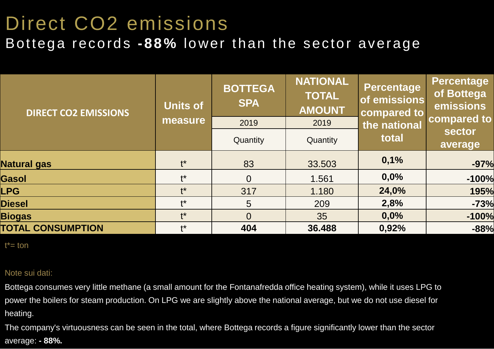### Direct CO2 emissions Bottega records **-88%** lower than the sector average

| <b>DIRECT CO2 EMISSIONS</b> | <b>Units of</b> | <b>BOTTEGA</b><br><b>SPA</b> | <b>NATIONAL</b><br><b>TOTAL</b><br><b>AMOUNT</b> | <b>Percentage</b><br>of emissions<br>compared to | <b>Percentage</b><br>of Bottega<br>emissions |
|-----------------------------|-----------------|------------------------------|--------------------------------------------------|--------------------------------------------------|----------------------------------------------|
|                             | measure         | 2019                         | 2019                                             | the national                                     | compared to                                  |
|                             |                 | Quantity                     | Quantity                                         | total                                            | <b>sector</b><br>average                     |
| <b>Natural gas</b>          | $t^*$           | 83                           | 33.503                                           | 0,1%                                             | $-97%$                                       |
| <b>Gasol</b>                | $t^{\star}$     | $\Omega$                     | 1.561                                            | 0,0%                                             | $-100%$                                      |
| <b>LPG</b>                  | $t^*$           | 317                          | 1.180                                            | 24,0%                                            | 195%                                         |
| <b>Diesel</b>               | $t^*$           | 5                            | 209                                              | 2,8%                                             | $-73%$                                       |
| <b>Biogas</b>               | $t^*$           | $\Omega$                     | 35                                               | 0,0%                                             | $-100%$                                      |
| <b>TOTAL CONSUMPTION</b>    | $+*$            | 404                          | 36.488                                           | 0,92%                                            | $-88%$                                       |

 $t^*$ = ton

#### Note sui dati:

Bottega consumes very little methane (a small amount for the Fontanafredda office heating system), while it uses LPG to power the boilers for steam production. On LPG we are slightly above the national average, but we do not use diesel for heating.

The company's virtuousness can be seen in the total, where Bottega records a figure significantly lower than the sector average: **- 88%.**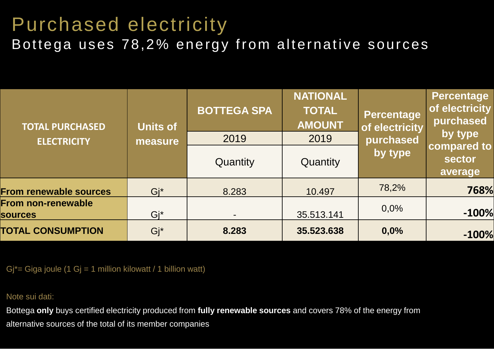# Purchased electricity

Bottega uses 78,2% energy from alternative sources

| <b>TOTAL PURCHASED</b>                      | <b>Units of</b> | <b>BOTTEGA SPA</b> | <b>NATIONAL</b><br><b>TOTAL</b><br><b>AMOUNT</b> | Percentage<br>of electricity | Percentage<br>of electricity<br>purchased |
|---------------------------------------------|-----------------|--------------------|--------------------------------------------------|------------------------------|-------------------------------------------|
| <b>ELECTRICITY</b>                          | measure         | 2019               | 2019                                             | purchased                    | by type                                   |
|                                             |                 | Quantity           | Quantity                                         | by type                      | compared to<br>sector<br>average          |
| <b>From renewable sources</b>               | $Gi^*$          | 8.283              | 10.497                                           | 78,2%                        | 768%                                      |
| <b>From non-renewable</b><br><b>sources</b> | Gi*             | $\blacksquare$     | 35.513.141                                       | 0,0%                         | $-100%$                                   |
| <b>TOTAL CONSUMPTION</b>                    | Gj*             | 8.283              | 35.523.638                                       | 0,0%                         | $-100%$                                   |

Gj\*= Giga joule (1 Gj = 1 million kilowatt / 1 billion watt)

Note sui dati:

Bottega **only** buys certified electricity produced from **fully renewable sources** and covers 78% of the energy from alternative sources of the total of its member companies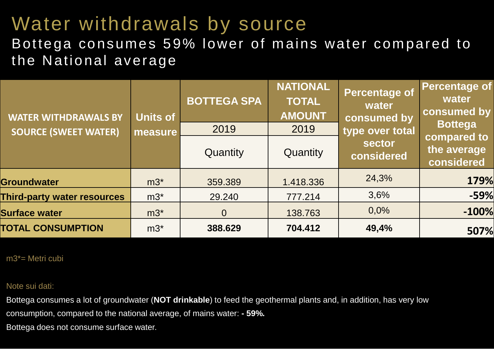### Water withdrawals by source

#### Bottega consumes 59% lower of mains water compared to the National average

| <b>WATER WITHDRAWALS BY</b><br><b>SOURCE (SWEET WATER)</b> | <b>Units of</b><br>measure | <b>BOTTEGA SPA</b><br>2019 | <b>NATIONAL</b><br><b>TOTAL</b><br><b>AMOUNT</b><br>2019 | <b>Percentage of</b><br>water<br>consumed by<br>type over total | <b>Percentage of</b><br>water<br>consumed by<br><b>Bottega</b> |  |
|------------------------------------------------------------|----------------------------|----------------------------|----------------------------------------------------------|-----------------------------------------------------------------|----------------------------------------------------------------|--|
|                                                            |                            | Quantity                   | <b>Quantity</b>                                          | <b>sector</b><br>considered                                     | compared to<br>the average<br>considered                       |  |
| <b>Groundwater</b>                                         | $m3^*$                     | 359.389                    | 1.418.336                                                | 24,3%                                                           | 179%                                                           |  |
| <b>Third-party water resources</b>                         | $m3^*$                     | 29,240                     | 777.214                                                  | 3,6%                                                            | $-59%$                                                         |  |
| <b>Surface water</b>                                       | $m3^*$                     | $\overline{0}$             | 138.763                                                  | 0,0%                                                            | $-100%$                                                        |  |
| <b>TOTAL CONSUMPTION</b>                                   | $m3^*$                     | 388.629                    | 704.412                                                  | 49,4%                                                           | 507%                                                           |  |

m3\*= Metri cubi

Note sui dati:

Bottega consumes a lot of groundwater (**NOT drinkable**) to feed the geothermal plants and, in addition, has very low consumption, compared to the national average, of mains water: **- 59%.**

Bottega does not consume surface water.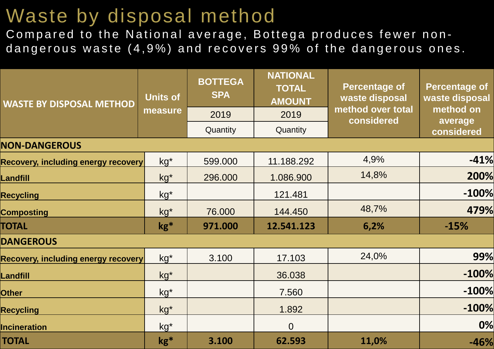### Waste by disposal method

Compared to the National average, Bottega produces fewer nondangerous waste (4,9%) and recovers 99% of the dangerous ones.

| <b>WASTE BY DISPOSAL METHOD</b>            | <b>Units of</b> | <b>NATIONAL</b><br><b>BOTTEGA</b><br><b>TOTAL</b><br><b>SPA</b><br><b>AMOUNT</b> |                | <b>Percentage of</b><br>waste disposal | <b>Percentage of</b><br>waste disposal |  |
|--------------------------------------------|-----------------|----------------------------------------------------------------------------------|----------------|----------------------------------------|----------------------------------------|--|
|                                            | measure         | 2019                                                                             | 2019           | method over total<br>considered        | method on<br>average                   |  |
|                                            |                 | Quantity                                                                         | Quantity       |                                        | considered                             |  |
| <b>NON-DANGEROUS</b>                       |                 |                                                                                  |                |                                        |                                        |  |
| <b>Recovery, including energy recovery</b> | $kg^*$          | 599.000                                                                          | 11.188.292     | 4,9%                                   | $-41%$                                 |  |
| Landfill                                   | $kg^*$          | 296.000                                                                          | 1.086.900      | 14,8%                                  | 200%                                   |  |
| <b>Recycling</b>                           | $kg^*$          |                                                                                  | 121.481        |                                        | $-100%$                                |  |
| <b>Composting</b>                          | $kg*$           | 76.000                                                                           | 144.450        | 48,7%                                  | 479%                                   |  |
| <b>TOTAL</b>                               | $kg*$           | 971.000                                                                          | 12.541.123     | 6,2%                                   | $-15%$                                 |  |
| <b>DANGEROUS</b>                           |                 |                                                                                  |                |                                        |                                        |  |
| <b>Recovery, including energy recovery</b> | $kg*$           | 3.100                                                                            | 17.103         | 24,0%                                  | 99%                                    |  |
| Landfill                                   | $kg^*$          |                                                                                  | 36.038         |                                        | $-100%$                                |  |
| <b>Other</b>                               | $kg^*$          |                                                                                  | 7.560          |                                        | $-100%$                                |  |
| <b>Recycling</b>                           | $kg*$           |                                                                                  | 1.892          |                                        | $-100%$                                |  |
| <b>Incineration</b>                        | $kg*$           |                                                                                  | $\overline{0}$ |                                        | 0%                                     |  |
| <b>TOTAL</b>                               | $kg*$           | 3.100                                                                            | 62.593         | 11,0%                                  | $-46%$                                 |  |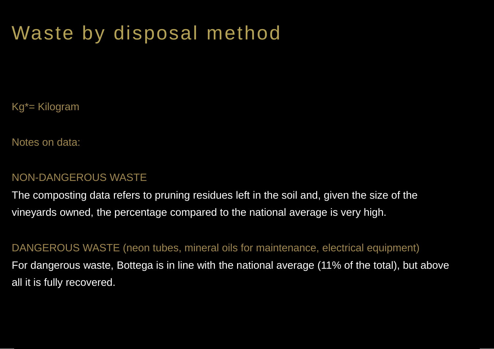### Waste by disposal method

Kg\*= Kilogram

Notes on data:

#### NON-DANGEROUS WASTE

The composting data refers to pruning residues left in the soil and, given the size of the vineyards owned, the percentage compared to the national average is very high.

DANGEROUS WASTE (neon tubes, mineral oils for maintenance, electrical equipment) For dangerous waste, Bottega is in line with the national average (11% of the total), but above all it is fully recovered.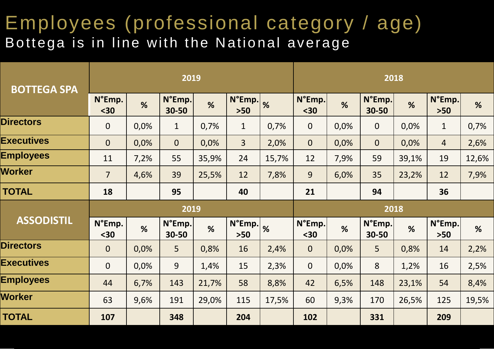### Employees (professional category / age) Bottega is in line with the National average

| <b>BOTTEGA SPA</b> |                  |      | 2019            |       |                 |               | 2018           |      |                 |       |                           |       |
|--------------------|------------------|------|-----------------|-------|-----------------|---------------|----------------|------|-----------------|-------|---------------------------|-------|
|                    | N°Emp.<br>$30$   | %    | N°Emp.<br>30-50 | %     | N°Emp.<br>$>50$ | $\frac{9}{6}$ | N°Emp.<br>$30$ | %    | N°Emp.<br>30-50 | %     | $N^{\circ}$ Emp.<br>$>50$ | %     |
| <b>Directors</b>   | $\boldsymbol{0}$ | 0,0% | $\mathbf{1}$    | 0,7%  | $\mathbf{1}$    | 0,7%          | $\mathbf{0}$   | 0,0% | $\mathbf 0$     | 0,0%  | $\mathbf{1}$              | 0,7%  |
| <b>Executives</b>  | $\overline{0}$   | 0,0% | $\overline{0}$  | 0,0%  | $\overline{3}$  | 2,0%          | $\overline{0}$ | 0,0% | $\overline{0}$  | 0,0%  | $\overline{4}$            | 2,6%  |
| <b>Employees</b>   | 11               | 7,2% | 55              | 35,9% | 24              | 15,7%         | 12             | 7,9% | 59              | 39,1% | 19                        | 12,6% |
| <b>Worker</b>      | $\overline{7}$   | 4,6% | 39              | 25,5% | 12              | 7,8%          | 9              | 6,0% | 35              | 23,2% | 12                        | 7,9%  |
| <b>TOTAL</b>       | 18               |      | 95              |       | 40              |               | 21             |      | 94              |       | 36                        |       |
|                    | 2019             |      |                 |       |                 |               | 2018           |      |                 |       |                           |       |
| <b>ASSODISTIL</b>  | N°Emp.<br>$30$   | %    | N°Emp.<br>30-50 | %     | N°Emp.<br>$>50$ | %             | N°Emp.<br>$30$ | %    | N°Emp.<br>30-50 | %     | N°Emp.<br>$>50$           | %     |
| <b>Directors</b>   | $\mathbf{0}$     | 0,0% | 5               | 0,8%  | 16              | 2,4%          | $\overline{0}$ | 0,0% | 5               | 0,8%  | 14                        | 2,2%  |
| <b>Executives</b>  | $\mathbf 0$      | 0,0% | 9               | 1,4%  | 15              | 2,3%          | $\overline{0}$ | 0,0% | 8               | 1,2%  | 16                        | 2,5%  |
| <b>Employees</b>   | 44               | 6,7% | 143             | 21,7% | 58              | 8,8%          | 42             | 6,5% | 148             | 23,1% | 54                        | 8,4%  |
| <b>Worker</b>      | 63               | 9,6% | 191             | 29,0% | 115             | 17,5%         | 60             | 9,3% | 170             | 26,5% | 125                       | 19,5% |
| <b>TOTAL</b>       | 107              |      | 348             |       | 204             |               | 102            |      | 331             |       | 209                       |       |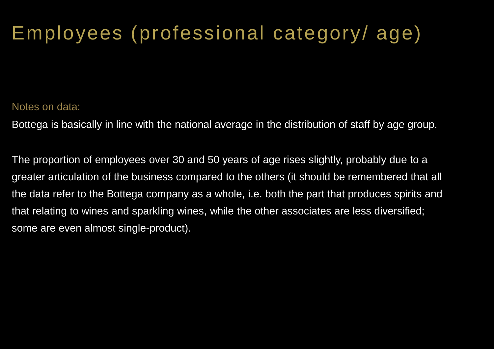# Employees (professional category/ age)

#### Notes on data:

Bottega is basically in line with the national average in the distribution of staff by age group.

The proportion of employees over 30 and 50 years of age rises slightly, probably due to a greater articulation of the business compared to the others (it should be remembered that all the data refer to the Bottega company as a whole, i.e. both the part that produces spirits and that relating to wines and sparkling wines, while the other associates are less diversified; some are even almost single-product).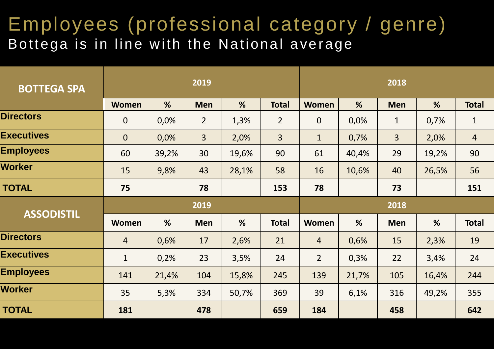### Employees (professional category / genre) Bottega is in line with the National average

| <b>BOTTEGA SPA</b> |                |       | 2019           |       |                |                  |       | 2018           |       |                |
|--------------------|----------------|-------|----------------|-------|----------------|------------------|-------|----------------|-------|----------------|
|                    | <b>Women</b>   | %     | <b>Men</b>     | %     | <b>Total</b>   | <b>Women</b>     | %     | <b>Men</b>     | %     | <b>Total</b>   |
| <b>Directors</b>   | $\overline{0}$ | 0,0%  | $\overline{2}$ | 1,3%  | $\overline{2}$ | $\boldsymbol{0}$ | 0,0%  | $\mathbf{1}$   | 0,7%  | $\mathbf{1}$   |
| <b>Executives</b>  | $\overline{0}$ | 0,0%  | 3              | 2,0%  | $\overline{3}$ | $\mathbf{1}$     | 0,7%  | $\overline{3}$ | 2,0%  | $\overline{4}$ |
| <b>Employees</b>   | 60             | 39,2% | 30             | 19,6% | 90             | 61               | 40,4% | 29             | 19,2% | 90             |
| <b>Worker</b>      | 15             | 9,8%  | 43             | 28,1% | 58             | 16               | 10,6% | 40             | 26,5% | 56             |
| <b>TOTAL</b>       | 75             |       | 78             |       | 153            | 78               |       | 73             |       | 151            |
|                    |                |       |                |       |                |                  |       |                |       |                |
|                    |                |       | 2019           |       |                |                  |       | 2018           |       |                |
| <b>ASSODISTIL</b>  | <b>Women</b>   | %     | <b>Men</b>     | %     | <b>Total</b>   | Women            | %     | <b>Men</b>     | %     | <b>Total</b>   |
| <b>Directors</b>   | $\overline{4}$ | 0,6%  | 17             | 2,6%  | 21             | $\overline{4}$   | 0,6%  | 15             | 2,3%  | 19             |
| <b>Executives</b>  | $\mathbf{1}$   | 0,2%  | 23             | 3,5%  | 24             | $\overline{2}$   | 0,3%  | 22             | 3,4%  | 24             |
| <b>Employees</b>   | 141            | 21,4% | 104            | 15,8% | 245            | 139              | 21,7% | 105            | 16,4% | 244            |
| <b>Worker</b>      | 35             | 5,3%  | 334            | 50,7% | 369            | 39               | 6,1%  | 316            | 49,2% | 355            |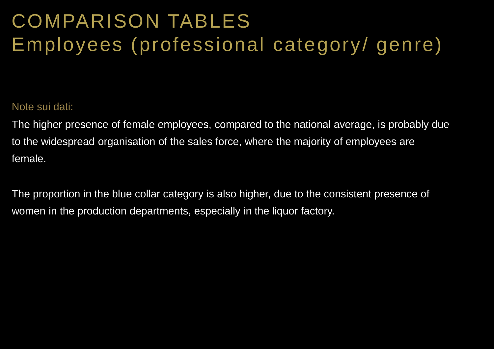# COMPARISON TABLES Employees (professional category/ genre)

#### Note sui dati:

The higher presence of female employees, compared to the national average, is probably due to the widespread organisation of the sales force, where the majority of employees are female.

The proportion in the blue collar category is also higher, due to the consistent presence of women in the production departments, especially in the liquor factory.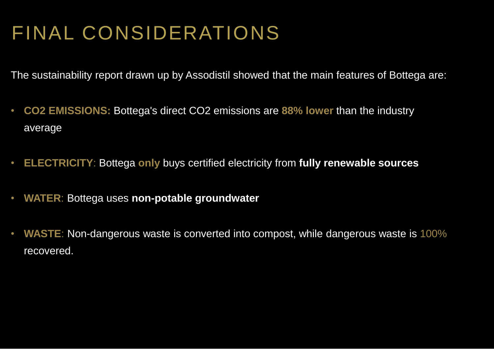## FINAL CONSIDERATIONS

The sustainability report drawn up by Assodistil showed that the main features of Bottega are:

- **CO2 EMISSIONS:** Bottega's direct CO2 emissions are **88% lower** than the industry average
- **ELECTRICITY**: Bottega **only** buys certified electricity from **fully renewable sources**
- **WATER**: Bottega uses **non-potable groundwater**
- **WASTE**: Non-dangerous waste is converted into compost, while dangerous waste is 100% recovered.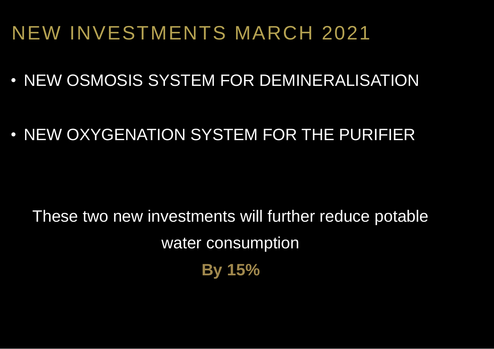### NEW INVESTMENTS MARCH 2021

- NEW OSMOSIS SYSTEM FOR DEMINERALISATION
- NEW OXYGENATION SYSTEM FOR THE PURIFIER

These two new investments will further reduce potable water consumption **By 15%**